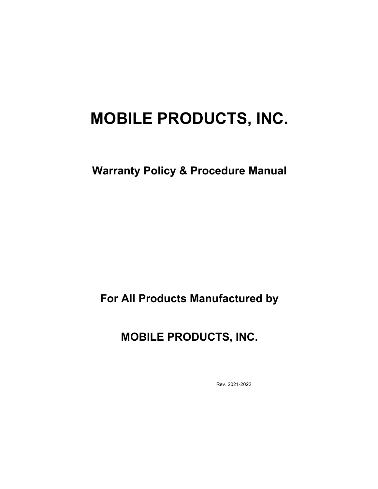# **MOBILE PRODUCTS, INC.**

**Warranty Policy & Procedure Manual**

**For All Products Manufactured by**

**MOBILE PRODUCTS, INC.**

Rev. 2021-2022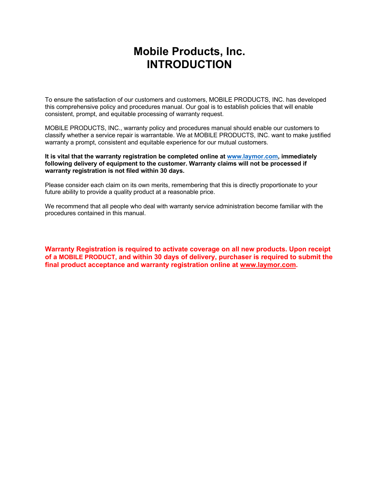# **Mobile Products, Inc. INTRODUCTION**

To ensure the satisfaction of our customers and customers, MOBILE PRODUCTS, INC. has developed this comprehensive policy and procedures manual. Our goal is to establish policies that will enable consistent, prompt, and equitable processing of warranty request.

MOBILE PRODUCTS, INC., warranty policy and procedures manual should enable our customers to classify whether a service repair is warrantable. We at MOBILE PRODUCTS, INC. want to make justified warranty a prompt, consistent and equitable experience for our mutual customers.

**It is vital that the warranty registration be completed online at www.laymor.com, immediately following delivery of equipment to the customer. Warranty claims will not be processed if warranty registration is not filed within 30 days.** 

Please consider each claim on its own merits, remembering that this is directly proportionate to your future ability to provide a quality product at a reasonable price.

We recommend that all people who deal with warranty service administration become familiar with the procedures contained in this manual.

**Warranty Registration is required to activate coverage on all new products. Upon receipt of a MOBILE PRODUCT, and within 30 days of delivery, purchaser is required to submit the final product acceptance and warranty registration online at www.laymor.com.**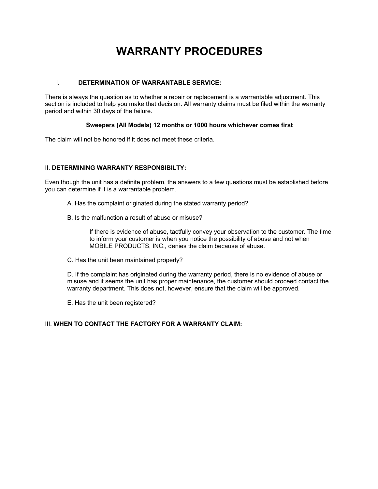# **WARRANTY PROCEDURES**

#### I. **DETERMINATION OF WARRANTABLE SERVICE:**

There is always the question as to whether a repair or replacement is a warrantable adjustment. This section is included to help you make that decision. All warranty claims must be filed within the warranty period and within 30 days of the failure.

#### **Sweepers (All Models) 12 months or 1000 hours whichever comes first**

The claim will not be honored if it does not meet these criteria.

## II. **DETERMINING WARRANTY RESPONSIBILTY:**

Even though the unit has a definite problem, the answers to a few questions must be established before you can determine if it is a warrantable problem.

- A. Has the complaint originated during the stated warranty period?
- B. Is the malfunction a result of abuse or misuse?

If there is evidence of abuse, tactfully convey your observation to the customer. The time to inform your customer is when you notice the possibility of abuse and not when MOBILE PRODUCTS, INC., denies the claim because of abuse.

C. Has the unit been maintained properly?

D. If the complaint has originated during the warranty period, there is no evidence of abuse or misuse and it seems the unit has proper maintenance, the customer should proceed contact the warranty department. This does not, however, ensure that the claim will be approved.

E. Has the unit been registered?

## III. **WHEN TO CONTACT THE FACTORY FOR A WARRANTY CLAIM:**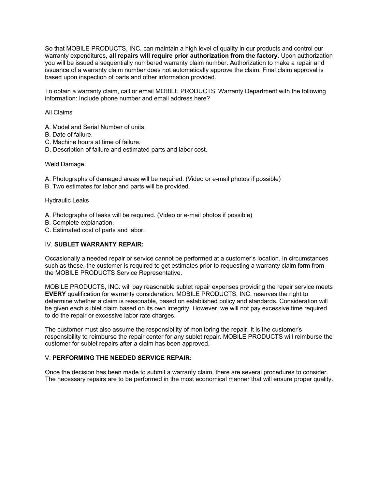So that MOBILE PRODUCTS, INC. can maintain a high level of quality in our products and control our warranty expenditures, **all repairs will require prior authorization from the factory.** Upon authorization you will be issued a sequentially numbered warranty claim number. Authorization to make a repair and issuance of a warranty claim number does not automatically approve the claim. Final claim approval is based upon inspection of parts and other information provided.

To obtain a warranty claim, call or email MOBILE PRODUCTS' Warranty Department with the following information: Include phone number and email address here?

All Claims

A. Model and Serial Number of units.

- B. Date of failure.
- C. Machine hours at time of failure.
- D. Description of failure and estimated parts and labor cost.

#### Weld Damage

A. Photographs of damaged areas will be required. (Video or e-mail photos if possible)

B. Two estimates for labor and parts will be provided.

Hydraulic Leaks

- A. Photographs of leaks will be required. (Video or e-mail photos if possible)
- B. Complete explanation.
- C. Estimated cost of parts and labor.

#### IV. **SUBLET WARRANTY REPAIR:**

Occasionally a needed repair or service cannot be performed at a customer's location. In circumstances such as these, the customer is required to get estimates prior to requesting a warranty claim form from the MOBILE PRODUCTS Service Representative.

MOBILE PRODUCTS, INC. will pay reasonable sublet repair expenses providing the repair service meets **EVERY** qualification for warranty consideration. MOBILE PRODUCTS, INC. reserves the right to determine whether a claim is reasonable, based on established policy and standards. Consideration will be given each sublet claim based on its own integrity. However, we will not pay excessive time required to do the repair or excessive labor rate charges.

The customer must also assume the responsibility of monitoring the repair. It is the customer's responsibility to reimburse the repair center for any sublet repair. MOBILE PRODUCTS will reimburse the customer for sublet repairs after a claim has been approved.

#### V. **PERFORMING THE NEEDED SERVICE REPAIR:**

Once the decision has been made to submit a warranty claim, there are several procedures to consider. The necessary repairs are to be performed in the most economical manner that will ensure proper quality.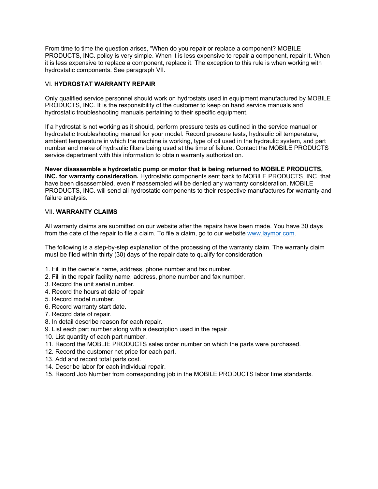From time to time the question arises, "When do you repair or replace a component? MOBILE PRODUCTS, INC. policy is very simple. When it is less expensive to repair a component, repair it. When it is less expensive to replace a component, replace it. The exception to this rule is when working with hydrostatic components. See paragraph VII.

#### VI. **HYDROSTAT WARRANTY REPAIR**

Only qualified service personnel should work on hydrostats used in equipment manufactured by MOBILE PRODUCTS, INC. It is the responsibility of the customer to keep on hand service manuals and hydrostatic troubleshooting manuals pertaining to their specific equipment.

If a hydrostat is not working as it should, perform pressure tests as outlined in the service manual or hydrostatic troubleshooting manual for your model. Record pressure tests, hydraulic oil temperature, ambient temperature in which the machine is working, type of oil used in the hydraulic system, and part number and make of hydraulic filters being used at the time of failure. Contact the MOBILE PRODUCTS service department with this information to obtain warranty authorization.

**Never disassemble a hydrostatic pump or motor that is being returned to MOBILE PRODUCTS, INC. for warranty consideration.** Hydrostatic components sent back to MOBILE PRODUCTS, INC. that have been disassembled, even if reassembled will be denied any warranty consideration. MOBILE PRODUCTS, INC. will send all hydrostatic components to their respective manufactures for warranty and failure analysis.

#### VII. **WARRANTY CLAIMS**

All warranty claims are submitted on our website after the repairs have been made. You have 30 days from the date of the repair to file a claim. To file a claim, go to our website www.laymor.com.

The following is a step-by-step explanation of the processing of the warranty claim. The warranty claim must be filed within thirty (30) days of the repair date to qualify for consideration.

- 1. Fill in the owner's name, address, phone number and fax number.
- 2. Fill in the repair facility name, address, phone number and fax number.
- 3. Record the unit serial number.
- 4. Record the hours at date of repair.
- 5. Record model number.
- 6. Record warranty start date.
- 7. Record date of repair.
- 8. In detail describe reason for each repair.
- 9. List each part number along with a description used in the repair.
- 10. List quantity of each part number.
- 11. Record the MOBLIE PRODUCTS sales order number on which the parts were purchased.
- 12. Record the customer net price for each part.
- 13. Add and record total parts cost.
- 14. Describe labor for each individual repair.
- 15. Record Job Number from corresponding job in the MOBILE PRODUCTS labor time standards.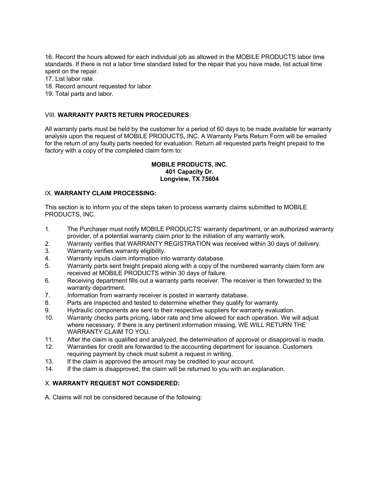16. Record the hours allowed for each individual job as allowed in the MOBILE PRODUCTS labor time standards. If there is not a labor time standard listed for the repair that you have made, list actual time spent on the repair.

17. List labor rate.

- 18. Record amount requested for labor.
- 19. Total parts and labor.

#### VIII. **WARRANTY PARTS RETURN PROCEDURES**:

All warranty parts must be held by the customer for a period of 60 days to be made available for warranty analysis upon the request of MOBILE PRODUCTS, INC. A Warranty Parts Return Form will be emailed for the return of any faulty parts needed for evaluation. Return all requested parts freight prepaid to the factory with a copy of the completed claim form to:

#### **MOBILE PRODUCTS, INC. 401 Capacity Dr. Longview, TX 75604**

#### IX. **WARRANTY CLAIM PROCESSING:**

This section is to inform you of the steps taken to process warranty claims submitted to MOBILE PRODUCTS, INC.

- 1. The Purchaser must notify MOBILE PRODUCTS' warranty department, or an authorized warranty provider, of a potential warranty claim prior to the initiation of any warranty work.
- 2. Warranty verifies that WARRANTY REGISTRATION was received within 30 days of delivery.
- 3. Warranty verifies warranty eligibility.
- 4. Warranty inputs claim information into warranty database.
- 5. Warranty parts sent freight prepaid along with a copy of the numbered warranty claim form are received at MOBILE PRODUCTS within 30 days of failure.
- 6. Receiving department fills out a warranty parts receiver. The receiver is then forwarded to the warranty department.
- 7. Information from warranty receiver is posted in warranty database.
- 8. Parts are inspected and tested to determine whether they qualify for warranty.
- 9. Hydraulic components are sent to their respective suppliers for warranty evaluation.
- 10. Warranty checks parts pricing, labor rate and time allowed for each operation. We will adjust where necessary. If there is any pertinent information missing, WE WILL RETURN THE WARRANTY CLAIM TO YOU.
- 11. After the claim is qualified and analyzed, the determination of approval or disapproval is made.
- 12. Warranties for credit are forwarded to the accounting department for issuance. Customers requiring payment by check must submit a request in writing.
- 13. If the claim is approved the amount may be credited to your account.
- 14. If the claim is disapproved, the claim will be returned to you with an explanation.

## X. **WARRANTY REQUEST NOT CONSIDERED:**

A. Claims will not be considered because of the following: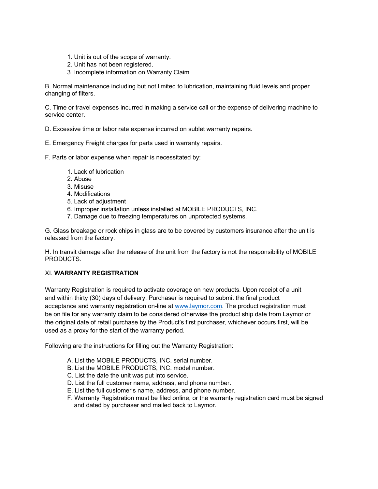- 1. Unit is out of the scope of warranty.
- 2. Unit has not been registered.
- 3. Incomplete information on Warranty Claim.

B. Normal maintenance including but not limited to lubrication, maintaining fluid levels and proper changing of filters.

C. Time or travel expenses incurred in making a service call or the expense of delivering machine to service center.

D. Excessive time or labor rate expense incurred on sublet warranty repairs.

- E. Emergency Freight charges for parts used in warranty repairs.
- F. Parts or labor expense when repair is necessitated by:
	- 1. Lack of lubrication
	- 2. Abuse
	- 3. Misuse
	- 4. Modifications
	- 5. Lack of adjustment
	- 6. Improper installation unless installed at MOBILE PRODUCTS, INC.
	- 7. Damage due to freezing temperatures on unprotected systems.

G. Glass breakage or rock chips in glass are to be covered by customers insurance after the unit is released from the factory.

H. In transit damage after the release of the unit from the factory is not the responsibility of MOBILE PRODUCTS.

## XI. **WARRANTY REGISTRATION**

Warranty Registration is required to activate coverage on new products. Upon receipt of a unit and within thirty (30) days of delivery, Purchaser is required to submit the final product acceptance and warranty registration on-line at www.laymor.com. The product registration must be on file for any warranty claim to be considered otherwise the product ship date from Laymor or the original date of retail purchase by the Product's first purchaser, whichever occurs first, will be used as a proxy for the start of the warranty period.

Following are the instructions for filling out the Warranty Registration:

- A. List the MOBILE PRODUCTS, INC. serial number.
- B. List the MOBILE PRODUCTS, INC. model number.
- C. List the date the unit was put into service.
- D. List the full customer name, address, and phone number.
- E. List the full customer's name, address, and phone number.
- F. Warranty Registration must be filed online, or the warranty registration card must be signed and dated by purchaser and mailed back to Laymor.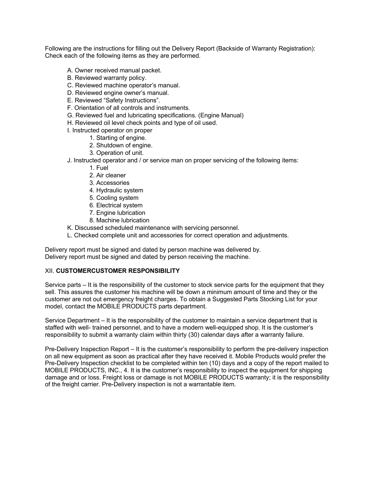Following are the instructions for filling out the Delivery Report (Backside of Warranty Registration): Check each of the following items as they are performed.

- A. Owner received manual packet.
- B. Reviewed warranty policy.
- C. Reviewed machine operator's manual.
- D. Reviewed engine owner's manual.
- E. Reviewed "Safety Instructions".
- F. Orientation of all controls and instruments.
- G. Reviewed fuel and lubricating specifications. (Engine Manual)
- H. Reviewed oil level check points and type of oil used.
- I. Instructed operator on proper
	- 1. Starting of engine.
	- 2. Shutdown of engine.
	- 3. Operation of unit.
- J. Instructed operator and / or service man on proper servicing of the following items:
	- 1. Fuel
	- 2. Air cleaner
	- 3. Accessories
	- 4. Hydraulic system
	- 5. Cooling system
	- 6. Electrical system
	- 7. Engine lubrication
	- 8. Machine lubrication
- K. Discussed scheduled maintenance with servicing personnel.
- L. Checked complete unit and accessories for correct operation and adjustments.

Delivery report must be signed and dated by person machine was delivered by. Delivery report must be signed and dated by person receiving the machine.

#### XII. **CUSTOMERCUSTOMER RESPONSIBILITY**

Service parts – It is the responsibility of the customer to stock service parts for the equipment that they sell. This assures the customer his machine will be down a minimum amount of time and they or the customer are not out emergency freight charges. To obtain a Suggested Parts Stocking List for your model, contact the MOBILE PRODUCTS parts department.

Service Department – It is the responsibility of the customer to maintain a service department that is staffed with well- trained personnel, and to have a modern well-equipped shop. It is the customer's responsibility to submit a warranty claim within thirty (30) calendar days after a warranty failure.

Pre-Delivery Inspection Report – It is the customer's responsibility to perform the pre-delivery inspection on all new equipment as soon as practical after they have received it. Mobile Products would prefer the Pre-Delivery Inspection checklist to be completed within ten (10) days and a copy of the report mailed to MOBILE PRODUCTS, INC., 4. It is the customer's responsibility to inspect the equipment for shipping damage and or loss. Freight loss or damage is not MOBILE PRODUCTS warranty; it is the responsibility of the freight carrier. Pre-Delivery inspection is not a warrantable item.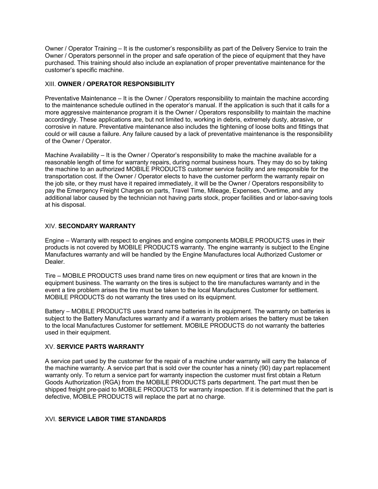Owner / Operator Training – It is the customer's responsibility as part of the Delivery Service to train the Owner / Operators personnel in the proper and safe operation of the piece of equipment that they have purchased. This training should also include an explanation of proper preventative maintenance for the customer's specific machine.

#### XIII. **OWNER / OPERATOR RESPONSIBILITY**

Preventative Maintenance – It is the Owner / Operators responsibility to maintain the machine according to the maintenance schedule outlined in the operator's manual. If the application is such that it calls for a more aggressive maintenance program it is the Owner / Operators responsibility to maintain the machine accordingly. These applications are, but not limited to, working in debris, extremely dusty, abrasive, or corrosive in nature. Preventative maintenance also includes the tightening of loose bolts and fittings that could or will cause a failure. Any failure caused by a lack of preventative maintenance is the responsibility of the Owner / Operator.

Machine Availability – It is the Owner / Operator's responsibility to make the machine available for a reasonable length of time for warranty repairs, during normal business hours. They may do so by taking the machine to an authorized MOBILE PRODUCTS customer service facility and are responsible for the transportation cost. If the Owner / Operator elects to have the customer perform the warranty repair on the job site, or they must have it repaired immediately, it will be the Owner / Operators responsibility to pay the Emergency Freight Charges on parts, Travel Time, Mileage, Expenses, Overtime, and any additional labor caused by the technician not having parts stock, proper facilities and or labor-saving tools at his disposal.

#### XIV. **SECONDARY WARRANTY**

Engine – Warranty with respect to engines and engine components MOBILE PRODUCTS uses in their products is not covered by MOBILE PRODUCTS warranty. The engine warranty is subject to the Engine Manufactures warranty and will be handled by the Engine Manufactures local Authorized Customer or Dealer.

Tire – MOBILE PRODUCTS uses brand name tires on new equipment or tires that are known in the equipment business. The warranty on the tires is subject to the tire manufactures warranty and in the event a tire problem arises the tire must be taken to the local Manufactures Customer for settlement. MOBILE PRODUCTS do not warranty the tires used on its equipment.

Battery – MOBILE PRODUCTS uses brand name batteries in its equipment. The warranty on batteries is subject to the Battery Manufactures warranty and if a warranty problem arises the battery must be taken to the local Manufactures Customer for settlement. MOBILE PRODUCTS do not warranty the batteries used in their equipment.

#### XV. **SERVICE PARTS WARRANTY**

A service part used by the customer for the repair of a machine under warranty will carry the balance of the machine warranty. A service part that is sold over the counter has a ninety (90) day part replacement warranty only. To return a service part for warranty inspection the customer must first obtain a Return Goods Authorization (RGA) from the MOBILE PRODUCTS parts department. The part must then be shipped freight pre-paid to MOBILE PRODUCTS for warranty inspection. If it is determined that the part is defective, MOBILE PRODUCTS will replace the part at no charge.

## XVI. **SERVICE LABOR TIME STANDARDS**